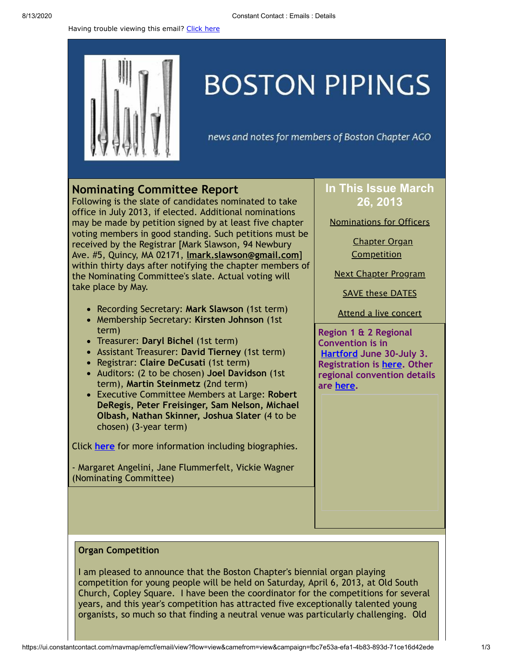Having trouble viewing this email? [Click](http://campaign.r20.constantcontact.com/render?preview=true&m=1105786651064&ca=6f9720e0-4dd8-466a-a2c2-9214276386a5&id=preview) here



# **BOSTON PIPINGS**

news and notes for members of Boston Chapter AGO

## <span id="page-0-0"></span>**Nominating Committee Report**

Following is the slate of candidates nominated to take office in July 2013, if elected. Additional nominations may be made by petition signed by at least five chapter voting members in good standing. Such petitions must be received by the Registrar [Mark Slawson, 94 Newbury Ave. #5, Quincy, MA 02171, **[lmark.slawson@gmail.com](mailto:lmark.slawson@gmail.com)**] within thirty days after notifying the chapter members of the Nominating Committee's slate. Actual voting will take place by May.

- Recording Secretary: **Mark Slawson** (1st term)
- Membership Secretary: **Kirsten Johnson** (1st term)
- Treasurer: **Daryl Bichel** (1st term)
- Assistant Treasurer: **David Tierney** (1st term)
- Registrar: **Claire DeCusati** (1st term)
- Auditors: (2 to be chosen) **Joel Davidson** (1st term), **Martin Steinmetz** (2nd term)
- Executive Committee Members at Large: **Robert DeRegis, Peter Freisinger, Sam Nelson, Michael Olbash, Nathan Skinner, Joshua Slater** (4 to be chosen) (3-year term)

Click **[here](http://library.constantcontact.com/doc208/1105786651064/doc/92GWvSWV9bWY0Mea.pdf)** for more information including biographies.

- Margaret Angelini, Jane Flummerfelt, Vickie Wagner (Nominating Committee)

## **In This Issue March 26, 2013**

[Nominations](#page-0-0) for Officers

Chapter Organ **[Competition](#page-0-1)** 

Next Chapter [Program](#page-1-0)

SAVE these [DATES](#page-1-1)

Attend a live [concert](#page-2-0)

**Region 1 & 2 Regional Convention is in [Hartford](http://hartfordago2013.org/) June 30-July 3. Registration is [here.](http://www.regonline.com/Register/Checkin.aspx?EventID=1107693) Other regional convention details are [here](http://www.agohq.org/organize/regconven.html).**

#### <span id="page-0-1"></span>**Organ Competition**

I am pleased to announce that the Boston Chapter's biennial organ playing competition for young people will be held on Saturday, April 6, 2013, at Old South Church, Copley Square. I have been the coordinator for the competitions for several years, and this year's competition has attracted five exceptionally talented young organists, so much so that finding a neutral venue was particularly challenging. Old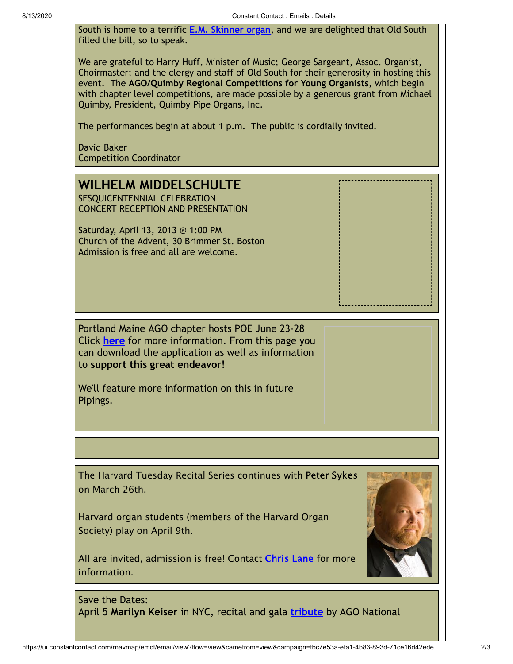South is home to a terrific **E.M. [Skinner organ](http://oldsouth.org/music/organs)**, and we are delighted that Old South filled the bill, so to speak.

We are grateful to Harry Huff, Minister of Music; George Sargeant, Assoc. Organist, Choirmaster; and the clergy and staff of Old South for their generosity in hosting this event. The **AGO/Quimby Regional Competitions for Young Organists**, which begin with chapter level competitions, are made possible by a generous grant from Michael Quimby, President, Quimby Pipe Organs, Inc.

The performances begin at about 1 p.m. The public is cordially invited.

David Baker Competition Coordinator

## <span id="page-1-0"></span>**WILHELM MIDDELSCHULTE**

SESQUICENTENNIAL CELEBRATION CONCERT RECEPTION AND PRESENTATION

Saturday, April 13, 2013 @ 1:00 PM Church of the Advent, 30 Brimmer St. Boston Admission is free and all are welcome.

Portland Maine AGO chapter hosts POE June 23-28 Click **[here](http://www.agoportlandmaine.com/#!__pipe-organ-encounter)** for more information. From this page you can download the application as well as information to **support this great endeavor!**

We'll feature more information on this in future Pipings.

The Harvard Tuesday Recital Series continues with Peter Sykes on March 26th.

Harvard organ students (members of the Harvard Organ Society) play on April 9th.

All are invited, admission is free! Contact [Chris](mailto:christian_lane@harvard.edu) Lane for more information.



<span id="page-1-1"></span>Save the Dates: April 5 **Marilyn Keiser** in NYC, recital and gala **[tribute](http://www.agohq.org/cgi-bin/cginews.pl?record=108)** by AGO National